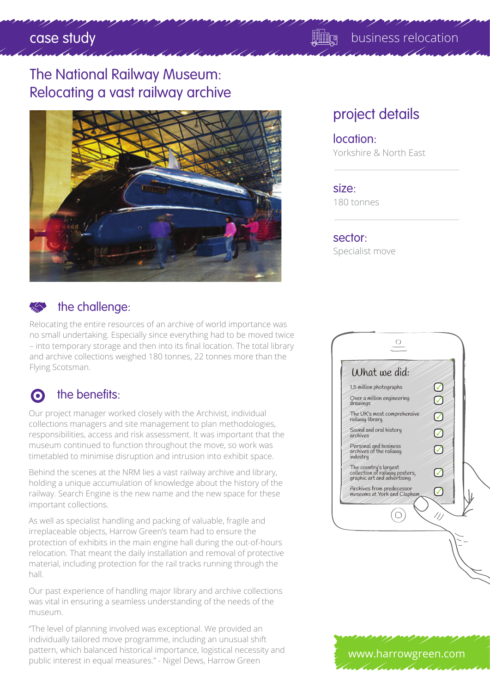# case study and the case study of the case study and the case of the case of the case of the case of the case o

## The National Railway Museum: Relocating a vast railway archive



### the challenge:

Relocating the entire resources of an archive of world importance was no small undertaking. Especially since everything had to be moved twice – into temporary storage and then into its final location. The total library and archive collections weighed 180 tonnes, 22 tonnes more than the Flying Scotsman.

### o the benefits:

Our project manager worked closely with the Archivist, individual collections managers and site management to plan methodologies, responsibilities, access and risk assessment. It was important that the museum continued to function throughout the move, so work was timetabled to minimise disruption and intrusion into exhibit space.

Behind the scenes at the NRM lies a vast railway archive and library, holding a unique accumulation of knowledge about the history of the railway. Search Engine is the new name and the new space for these important collections.

As well as specialist handling and packing of valuable, fragile and irreplaceable objects, Harrow Green's team had to ensure the protection of exhibits in the main engine hall during the out-of-hours relocation. That meant the daily installation and removal of protective material, including protection for the rail tracks running through the hall.

Our past experience of handling major library and archive collections was vital in ensuring a seamless understanding of the needs of the museum.

"The level of planning involved was exceptional. We provided an individually tailored move programme, including an unusual shift pattern, which balanced historical importance, logistical necessity and pattern, which balanced historical importance, logistical necessity and **by the www.harrowgreen.com**<br>public interest in equal measures." - Nigel Dews, Harrow Green

## project details

#### location: Yorkshire & North East

size: 180 tonnes

sector: Specialist move